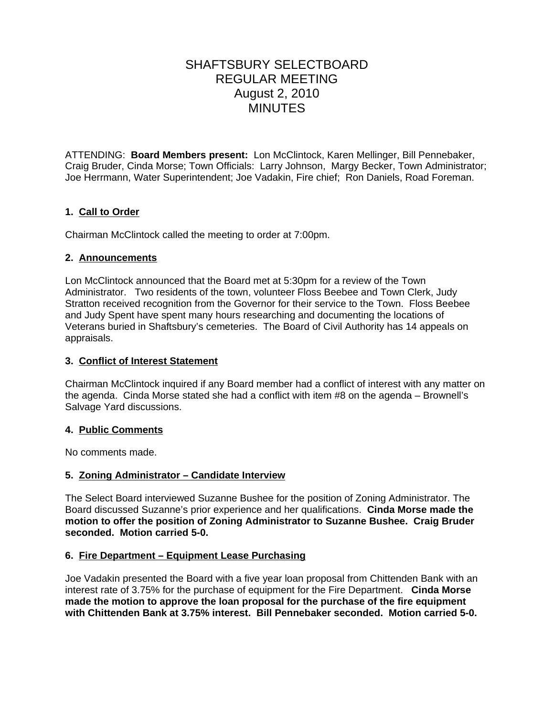# SHAFTSBURY SELECTBOARD REGULAR MEETING August 2, 2010 MINUTES

ATTENDING: **Board Members present:** Lon McClintock, Karen Mellinger, Bill Pennebaker, Craig Bruder, Cinda Morse; Town Officials: Larry Johnson,Margy Becker, Town Administrator; Joe Herrmann, Water Superintendent; Joe Vadakin, Fire chief; Ron Daniels, Road Foreman.

# **1. Call to Order**

Chairman McClintock called the meeting to order at 7:00pm.

# **2. Announcements**

Lon McClintock announced that the Board met at 5:30pm for a review of the Town Administrator. Two residents of the town, volunteer Floss Beebee and Town Clerk, Judy Stratton received recognition from the Governor for their service to the Town. Floss Beebee and Judy Spent have spent many hours researching and documenting the locations of Veterans buried in Shaftsbury's cemeteries. The Board of Civil Authority has 14 appeals on appraisals.

### **3. Conflict of Interest Statement**

Chairman McClintock inquired if any Board member had a conflict of interest with any matter on the agenda. Cinda Morse stated she had a conflict with item #8 on the agenda – Brownell's Salvage Yard discussions.

#### **4. Public Comments**

No comments made.

# **5. Zoning Administrator – Candidate Interview**

The Select Board interviewed Suzanne Bushee for the position of Zoning Administrator. The Board discussed Suzanne's prior experience and her qualifications. **Cinda Morse made the motion to offer the position of Zoning Administrator to Suzanne Bushee. Craig Bruder seconded. Motion carried 5-0.**

# **6. Fire Department – Equipment Lease Purchasing**

Joe Vadakin presented the Board with a five year loan proposal from Chittenden Bank with an interest rate of 3.75% for the purchase of equipment for the Fire Department. **Cinda Morse made the motion to approve the loan proposal for the purchase of the fire equipment with Chittenden Bank at 3.75% interest. Bill Pennebaker seconded. Motion carried 5-0.**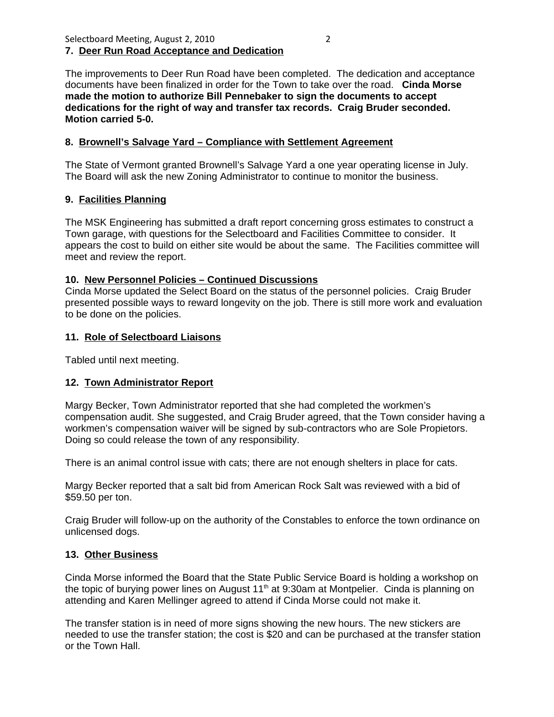#### Selectboard Meeting, August 2, 2010 2 **7. Deer Run Road Acceptance and Dedication**

The improvements to Deer Run Road have been completed. The dedication and acceptance documents have been finalized in order for the Town to take over the road. **Cinda Morse made the motion to authorize Bill Pennebaker to sign the documents to accept dedications for the right of way and transfer tax records. Craig Bruder seconded. Motion carried 5-0.**

#### **8. Brownell's Salvage Yard – Compliance with Settlement Agreement**

The State of Vermont granted Brownell's Salvage Yard a one year operating license in July. The Board will ask the new Zoning Administrator to continue to monitor the business.

#### **9. Facilities Planning**

The MSK Engineering has submitted a draft report concerning gross estimates to construct a Town garage, with questions for the Selectboard and Facilities Committee to consider. It appears the cost to build on either site would be about the same. The Facilities committee will meet and review the report.

#### **10. New Personnel Policies – Continued Discussions**

Cinda Morse updated the Select Board on the status of the personnel policies. Craig Bruder presented possible ways to reward longevity on the job. There is still more work and evaluation to be done on the policies.

#### **11. Role of Selectboard Liaisons**

Tabled until next meeting.

# **12. Town Administrator Report**

Margy Becker, Town Administrator reported that she had completed the workmen's compensation audit. She suggested, and Craig Bruder agreed, that the Town consider having a workmen's compensation waiver will be signed by sub-contractors who are Sole Propietors. Doing so could release the town of any responsibility.

There is an animal control issue with cats; there are not enough shelters in place for cats.

Margy Becker reported that a salt bid from American Rock Salt was reviewed with a bid of \$59.50 per ton.

Craig Bruder will follow-up on the authority of the Constables to enforce the town ordinance on unlicensed dogs.

# **13. Other Business**

Cinda Morse informed the Board that the State Public Service Board is holding a workshop on the topic of burying power lines on August  $11<sup>th</sup>$  at 9:30am at Montpelier. Cinda is planning on attending and Karen Mellinger agreed to attend if Cinda Morse could not make it.

The transfer station is in need of more signs showing the new hours. The new stickers are needed to use the transfer station; the cost is \$20 and can be purchased at the transfer station or the Town Hall.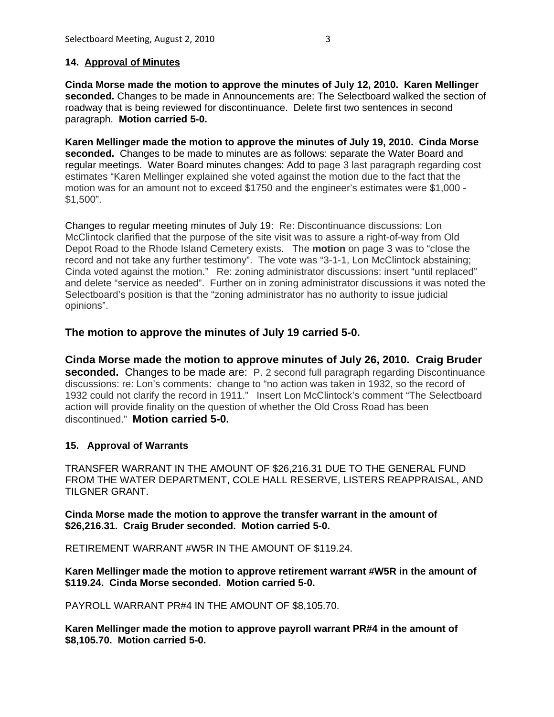**Cinda Morse made the motion to approve the minutes of July 12, 2010. Karen Mellinger seconded.** Changes to be made in Announcements are: The Selectboard walked the section of roadway that is being reviewed for discontinuance. Delete first two sentences in second paragraph. **Motion carried 5-0.**

**Karen Mellinger made the motion to approve the minutes of July 19, 2010. Cinda Morse seconded.** Changes to be made to minutes are as follows: separate the Water Board and regular meetings. Water Board minutes changes: Add to page 3 last paragraph regarding cost estimates "Karen Mellinger explained she voted against the motion due to the fact that the motion was for an amount not to exceed \$1750 and the engineer's estimates were \$1,000 - \$1,500".

Changes to regular meeting minutes of July 19: Re: Discontinuance discussions: Lon McClintock clarified that the purpose of the site visit was to assure a right-of-way from Old Depot Road to the Rhode Island Cemetery exists. The **motion** on page 3 was to "close the record and not take any further testimony". The vote was "3-1-1, Lon McClintock abstaining; Cinda voted against the motion." Re: zoning administrator discussions: insert "until replaced" and delete "service as needed". Further on in zoning administrator discussions it was noted the Selectboard's position is that the "zoning administrator has no authority to issue judicial opinions".

# **The motion to approve the minutes of July 19 carried 5-0.**

**Cinda Morse made the motion to approve minutes of July 26, 2010. Craig Bruder seconded.** Changes to be made are: P. 2 second full paragraph regarding Discontinuance discussions: re: Lon's comments: change to "no action was taken in 1932, so the record of 1932 could not clarify the record in 1911." Insert Lon McClintock's comment "The Selectboard action will provide finality on the question of whether the Old Cross Road has been discontinued." **Motion carried 5-0.**

# **15. Approval of Warrants**

TRANSFER WARRANT IN THE AMOUNT OF \$26,216.31 DUE TO THE GENERAL FUND FROM THE WATER DEPARTMENT, COLE HALL RESERVE, LISTERS REAPPRAISAL, AND TILGNER GRANT.

**Cinda Morse made the motion to approve the transfer warrant in the amount of \$26,216.31. Craig Bruder seconded. Motion carried 5-0.**

RETIREMENT WARRANT #W5R IN THE AMOUNT OF \$119.24.

**Karen Mellinger made the motion to approve retirement warrant #W5R in the amount of \$119.24. Cinda Morse seconded. Motion carried 5-0.**

PAYROLL WARRANT PR#4 IN THE AMOUNT OF \$8,105.70.

**Karen Mellinger made the motion to approve payroll warrant PR#4 in the amount of \$8,105.70. Motion carried 5-0.**